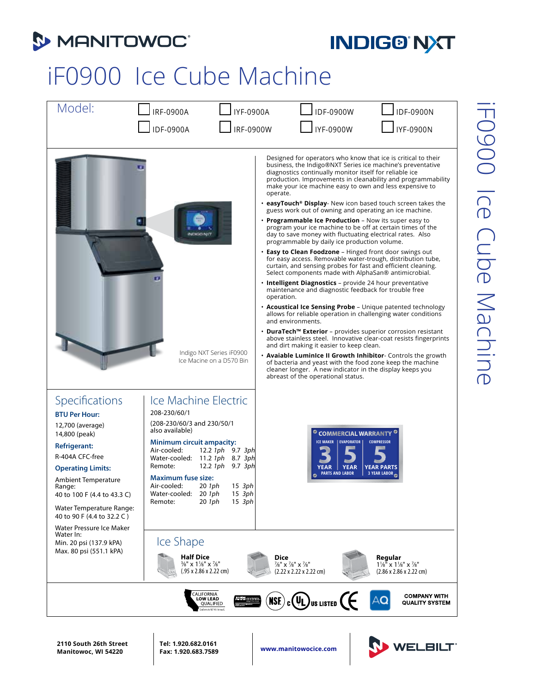

## **INDIG® NXT**

## iF0900 Ice Cube Machine

| Model:                                                                                                                                                                                                                                                                                                                                                                            | <b>IRF-0900A</b><br><b>IYF-0900A</b><br><b>IDF-0900A</b><br>IRF-0900W                                                                                                                                                                                                                                                                                                                                                                                           | IDF-0900W<br>IDF-0900N<br>IYF-0900W<br><b>IYF-0900N</b>                                                                                                                                                                                                                                                                                                                                                                                                                                                                                                                                                                                                                                                                                                                                                                                                                                                                                                                                                                                                                                                                                                                                                                                                                                                                                                                                                                                                                                                                                                                                                                                                         |
|-----------------------------------------------------------------------------------------------------------------------------------------------------------------------------------------------------------------------------------------------------------------------------------------------------------------------------------------------------------------------------------|-----------------------------------------------------------------------------------------------------------------------------------------------------------------------------------------------------------------------------------------------------------------------------------------------------------------------------------------------------------------------------------------------------------------------------------------------------------------|-----------------------------------------------------------------------------------------------------------------------------------------------------------------------------------------------------------------------------------------------------------------------------------------------------------------------------------------------------------------------------------------------------------------------------------------------------------------------------------------------------------------------------------------------------------------------------------------------------------------------------------------------------------------------------------------------------------------------------------------------------------------------------------------------------------------------------------------------------------------------------------------------------------------------------------------------------------------------------------------------------------------------------------------------------------------------------------------------------------------------------------------------------------------------------------------------------------------------------------------------------------------------------------------------------------------------------------------------------------------------------------------------------------------------------------------------------------------------------------------------------------------------------------------------------------------------------------------------------------------------------------------------------------------|
|                                                                                                                                                                                                                                                                                                                                                                                   | <b>NDIGG NOT</b><br>Indigo NXT Series iF0900<br>Ice Macine on a D570 Bin                                                                                                                                                                                                                                                                                                                                                                                        | Designed for operators who know that ice is critical to their<br>business, the Indigo®NXT Series ice machine's preventative<br>diagnostics continually monitor itself for reliable ice<br>production. Improvements in cleanability and programmability<br>make your ice machine easy to own and less expensive to<br>operate.<br>• easyTouch <sup>®</sup> Display- New icon based touch screen takes the<br>guess work out of owning and operating an ice machine.<br>• Programmable Ice Production - Now its super easy to<br>program your ice machine to be off at certain times of the<br>day to save money with fluctuating electrical rates. Also<br>programmable by daily ice production volume.<br>• Easy to Clean Foodzone - Hinged front door swings out<br>for easy access. Removable water-trough, distribution tube,<br>curtain, and sensing probes for fast and efficient cleaning.<br>Select components made with AlphaSan® antimicrobial.<br>. Intelligent Diagnostics - provide 24 hour preventative<br>maintenance and diagnostic feedback for trouble free<br>operation.<br>• Acoustical Ice Sensing Probe - Unique patented technology<br>allows for reliable operation in challenging water conditions<br>and environments.<br>• DuraTech™ Exterior – provides superior corrosion resistant<br>above stainless steel. Innovative clear-coat resists fingerprints<br>and dirt making it easier to keep clean.<br>• Avaiable Luminice II Growth Inhibitor- Controls the growth<br>of bacteria and yeast with the food zone keep the machine<br>cleaner longer. A new indicator in the display keeps you<br>abreast of the operational status. |
| Specifications<br><b>BTU Per Hour:</b><br>12,700 (average)<br>14,800 (peak)<br><b>Refrigerant:</b><br>R-404A CFC-free<br><b>Operating Limits:</b><br><b>Ambient Temperature</b><br>Range:<br>40 to 100 F (4.4 to 43.3 C)<br>Water Temperature Range:<br>40 to 90 F (4.4 to 32.2 C)<br>Water Pressure Ice Maker<br>Water In:<br>Min. 20 psi (137.9 kPA)<br>Max. 80 psi (551.1 kPA) | Ice Machine Electric<br>208-230/60/1<br>(208-230/60/3 and 230/50/1<br>also available)<br><b>Minimum circuit ampacity:</b><br>Air-cooled:<br>12.2 1ph 9.7 3ph<br>Water-cooled: 11.2 1ph 8.7 3ph<br>12.2 $1ph$ 9.7 $3ph$<br>Remote:<br><b>Maximum fuse size:</b><br>Air-cooled: 20 1ph 15 3ph<br>Water-cooled: 20 1ph<br>15 3ph<br>20 1ph<br>$15$ $3ph$<br>Remote:<br>Ice Shape<br><b>Half Dice</b><br>3/8" x 1 1/8" x 7/8"<br>$(.95 \times 2.86 \times 2.22$ cm) | <b>COMMERCIAL WARRANTY<sup>C</sup></b><br>ICE MAKER   EVAPORATOR   <br><b>COMPRESSOR</b><br><b>YEAR</b><br><b>YEAR</b><br><b>YEAR PARTS</b><br><b>PARTS AND LABOR</b><br>3 YEAR LABOR<br>Dice<br>Regular<br>7/8" x 7/8" x 7/8"<br>$1\frac{1}{8}$ " x $1\frac{1}{8}$ " x $\frac{7}{8}$ "<br>(2.22 x 2.22 x 2.22 cm)<br>$(2.86 \times 2.86 \times 2.22$ cm)                                                                                                                                                                                                                                                                                                                                                                                                                                                                                                                                                                                                                                                                                                                                                                                                                                                                                                                                                                                                                                                                                                                                                                                                                                                                                                       |
|                                                                                                                                                                                                                                                                                                                                                                                   | CALIFORNIA<br>Low Lead<br>ALC: CERTIFIED<br><b>QUALIFIED</b><br>onforms to NSF 61 Annex G                                                                                                                                                                                                                                                                                                                                                                       | <b>COMPANY WITH</b><br>$_{c}$ (UL) <sub>US LISTED</sub> ( $\epsilon$<br><b>NSE</b><br><b>QUALITY SYSTEM</b>                                                                                                                                                                                                                                                                                                                                                                                                                                                                                                                                                                                                                                                                                                                                                                                                                                                                                                                                                                                                                                                                                                                                                                                                                                                                                                                                                                                                                                                                                                                                                     |